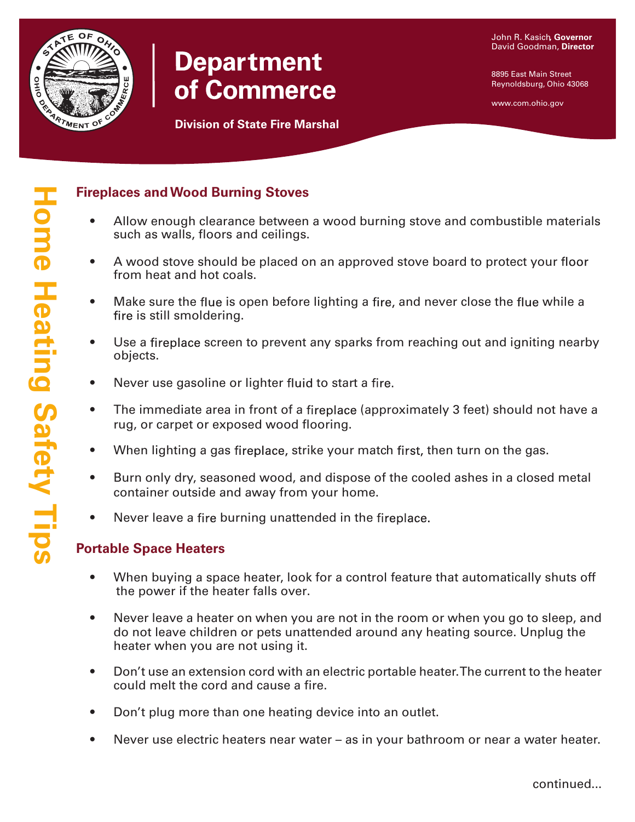

# **Department** of Commerce

8895 East Main Street Reynoldsburg, Ohio 43068

www.com.ohio.gov

## **Fireplaces andWood Burning Stoves**

- Allow enough clearance between a wood burning stove and combustible materials such as walls, floors and ceilings.
- A wood stove should be placed on an approved stove board to protect your floor from heat and hot coals.
- Make sure the flue is open before lighting a fire, and never close the flue while a fire is still smoldering.
- Use a fireplace screen to prevent any sparks from reaching out and igniting nearby objects.
- Never use gasoline or lighter fluid to start a fire.
- The immediate area in front of a fireplace (approximately 3 feet) should not have a rug, or carpet or exposed wood flooring.
- When lighting a gas fireplace, strike your match first, then turn on the gas.
- Burn only dry, seasoned wood, and dispose of the cooled ashes in a closed metal container outside and away from your home.
- Never leave a fire burning unattended in the fireplace.

## **Portable Space Heaters**

- When buying a space heater, look for a control feature that automatically shuts off the power if the heater falls over.
- Never leave a heater on when you are not in the room or when you go to sleep, and do not leave children or pets unattended around any heating source. Unplug the heater when you are not using it.
- Don't use an extension cord with an electric portable heater.The current to the heater could melt the cord and cause a fire.
- Don't plug more than one heating device into an outlet.
- Never use electric heaters near water as in your bathroom or near a water heater.